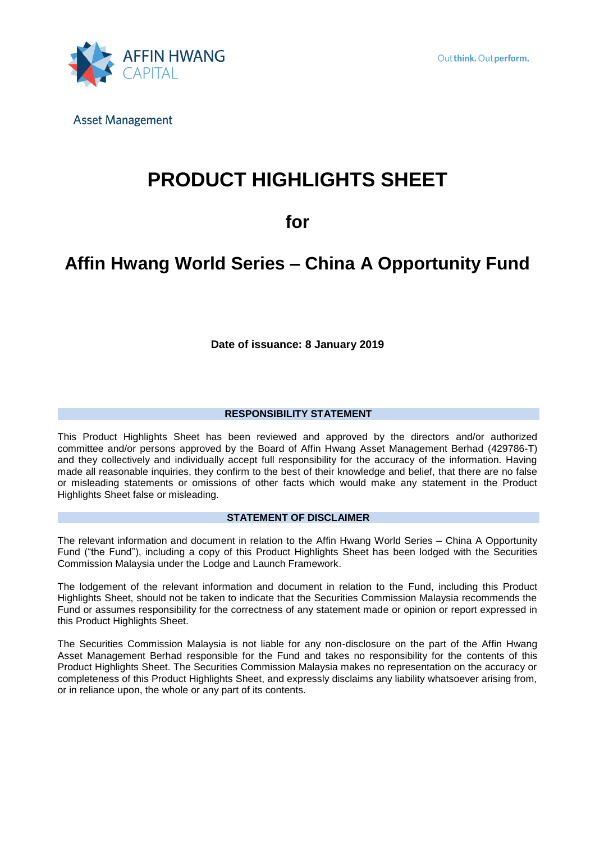

# **PRODUCT HIGHLIGHTS SHEET**

# **for**

# **Affin Hwang World Series – China A Opportunity Fund**

**Date of issuance: 8 January 2019**

## **RESPONSIBILITY STATEMENT**

This Product Highlights Sheet has been reviewed and approved by the directors and/or authorized committee and/or persons approved by the Board of Affin Hwang Asset Management Berhad (429786-T) and they collectively and individually accept full responsibility for the accuracy of the information. Having made all reasonable inquiries, they confirm to the best of their knowledge and belief, that there are no false or misleading statements or omissions of other facts which would make any statement in the Product Highlights Sheet false or misleading.

### **STATEMENT OF DISCLAIMER**

The relevant information and document in relation to the Affin Hwang World Series – China A Opportunity Fund ("the Fund"), including a copy of this Product Highlights Sheet has been lodged with the Securities Commission Malaysia under the Lodge and Launch Framework.

The lodgement of the relevant information and document in relation to the Fund, including this Product Highlights Sheet, should not be taken to indicate that the Securities Commission Malaysia recommends the Fund or assumes responsibility for the correctness of any statement made or opinion or report expressed in this Product Highlights Sheet.

The Securities Commission Malaysia is not liable for any non-disclosure on the part of the Affin Hwang Asset Management Berhad responsible for the Fund and takes no responsibility for the contents of this Product Highlights Sheet. The Securities Commission Malaysia makes no representation on the accuracy or completeness of this Product Highlights Sheet, and expressly disclaims any liability whatsoever arising from, or in reliance upon, the whole or any part of its contents.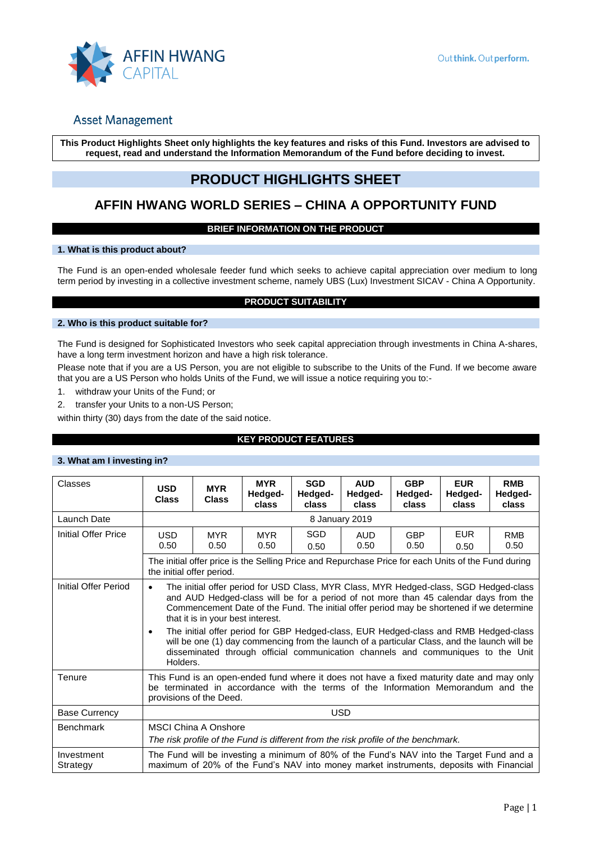

**This Product Highlights Sheet only highlights the key features and risks of this Fund. Investors are advised to request, read and understand the Information Memorandum of the Fund before deciding to invest.**

## **PRODUCT HIGHLIGHTS SHEET**

## **AFFIN HWANG WORLD SERIES – CHINA A OPPORTUNITY FUND**

## **BRIEF INFORMATION ON THE PRODUCT**

#### **1. What is this product about?**

The Fund is an open-ended wholesale feeder fund which seeks to achieve capital appreciation over medium to long term period by investing in a collective investment scheme, namely UBS (Lux) Investment SICAV - China A Opportunity.

### **PRODUCT SUITABILITY**

### **2. Who is this product suitable for?**

The Fund is designed for Sophisticated Investors who seek capital appreciation through investments in China A-shares, have a long term investment horizon and have a high risk tolerance.

Please note that if you are a US Person, you are not eligible to subscribe to the Units of the Fund. If we become aware that you are a US Person who holds Units of the Fund, we will issue a notice requiring you to:-

- 1. withdraw your Units of the Fund; or
- 2. transfer your Units to a non-US Person;

within thirty (30) days from the date of the said notice.

## **KEY PRODUCT FEATURES**

#### **3. What am I investing in?**

| Classes                | <b>USD</b><br><b>Class</b>                                                                                                                                                                                                                                                                                                                                                                                                                                                                                                                                                                                                       | <b>MYR</b><br><b>Class</b>                                                                                                       | <b>MYR</b><br>Hedged-<br>class | <b>SGD</b><br>Hedged-<br>class | <b>AUD</b><br>Hedged-<br>class | <b>GBP</b><br>Hedged-<br>class | <b>EUR</b><br>Hedged-<br>class | <b>RMB</b><br>Hedged-<br>class |
|------------------------|----------------------------------------------------------------------------------------------------------------------------------------------------------------------------------------------------------------------------------------------------------------------------------------------------------------------------------------------------------------------------------------------------------------------------------------------------------------------------------------------------------------------------------------------------------------------------------------------------------------------------------|----------------------------------------------------------------------------------------------------------------------------------|--------------------------------|--------------------------------|--------------------------------|--------------------------------|--------------------------------|--------------------------------|
| Launch Date            |                                                                                                                                                                                                                                                                                                                                                                                                                                                                                                                                                                                                                                  | 8 January 2019                                                                                                                   |                                |                                |                                |                                |                                |                                |
| Initial Offer Price    | <b>USD</b><br>0.50                                                                                                                                                                                                                                                                                                                                                                                                                                                                                                                                                                                                               | <b>MYR</b><br>0.50                                                                                                               | <b>MYR</b><br>0.50             | SGD<br>0.50                    | <b>AUD</b><br>0.50             | <b>GBP</b><br>0.50             | <b>EUR</b><br>0.50             | <b>RMB</b><br>0.50             |
|                        |                                                                                                                                                                                                                                                                                                                                                                                                                                                                                                                                                                                                                                  | The initial offer price is the Selling Price and Repurchase Price for each Units of the Fund during<br>the initial offer period. |                                |                                |                                |                                |                                |                                |
| Initial Offer Period   | The initial offer period for USD Class, MYR Class, MYR Hedged-class, SGD Hedged-class<br>$\bullet$<br>and AUD Hedged-class will be for a period of not more than 45 calendar days from the<br>Commencement Date of the Fund. The initial offer period may be shortened if we determine<br>that it is in your best interest.<br>The initial offer period for GBP Hedged-class, EUR Hedged-class and RMB Hedged-class<br>$\bullet$<br>will be one (1) day commencing from the launch of a particular Class, and the launch will be<br>disseminated through official communication channels and communiques to the Unit<br>Holders. |                                                                                                                                  |                                |                                |                                |                                |                                |                                |
| Tenure                 | This Fund is an open-ended fund where it does not have a fixed maturity date and may only<br>be terminated in accordance with the terms of the Information Memorandum and the<br>provisions of the Deed.                                                                                                                                                                                                                                                                                                                                                                                                                         |                                                                                                                                  |                                |                                |                                |                                |                                |                                |
| <b>Base Currency</b>   | <b>USD</b>                                                                                                                                                                                                                                                                                                                                                                                                                                                                                                                                                                                                                       |                                                                                                                                  |                                |                                |                                |                                |                                |                                |
| <b>Benchmark</b>       | <b>MSCI China A Onshore</b><br>The risk profile of the Fund is different from the risk profile of the benchmark.                                                                                                                                                                                                                                                                                                                                                                                                                                                                                                                 |                                                                                                                                  |                                |                                |                                |                                |                                |                                |
| Investment<br>Strategy | The Fund will be investing a minimum of 80% of the Fund's NAV into the Target Fund and a<br>maximum of 20% of the Fund's NAV into money market instruments, deposits with Financial                                                                                                                                                                                                                                                                                                                                                                                                                                              |                                                                                                                                  |                                |                                |                                |                                |                                |                                |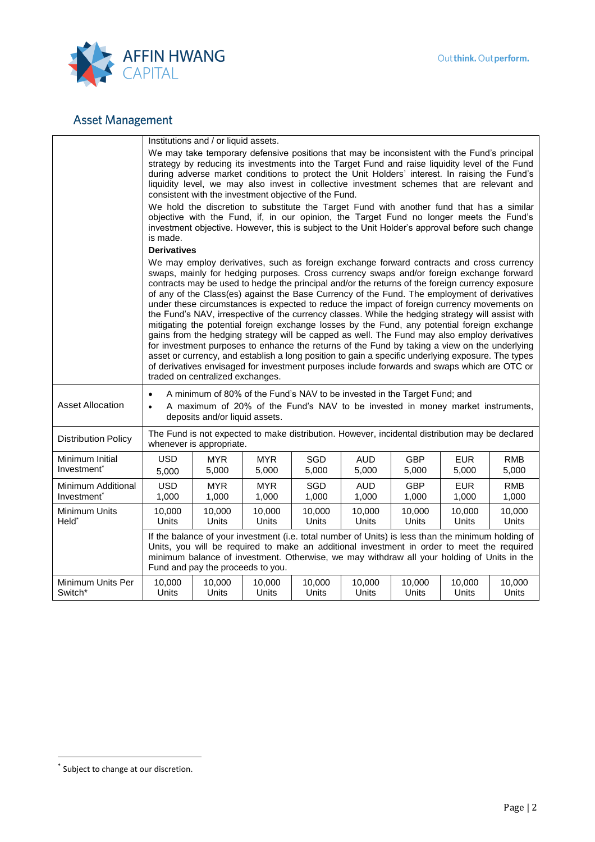

|                                               | Institutions and / or liquid assets.                                                                                                                                                                                                                                                                                                                                                                                                                                                                                                                                                                                                                                                                                                                                                                                                                                                                                                                                                                                                                                                                                                    |                     |                        |                     |                     |                     |                     |                     |
|-----------------------------------------------|-----------------------------------------------------------------------------------------------------------------------------------------------------------------------------------------------------------------------------------------------------------------------------------------------------------------------------------------------------------------------------------------------------------------------------------------------------------------------------------------------------------------------------------------------------------------------------------------------------------------------------------------------------------------------------------------------------------------------------------------------------------------------------------------------------------------------------------------------------------------------------------------------------------------------------------------------------------------------------------------------------------------------------------------------------------------------------------------------------------------------------------------|---------------------|------------------------|---------------------|---------------------|---------------------|---------------------|---------------------|
|                                               | We may take temporary defensive positions that may be inconsistent with the Fund's principal<br>strategy by reducing its investments into the Target Fund and raise liquidity level of the Fund<br>during adverse market conditions to protect the Unit Holders' interest. In raising the Fund's<br>liquidity level, we may also invest in collective investment schemes that are relevant and<br>consistent with the investment objective of the Fund.                                                                                                                                                                                                                                                                                                                                                                                                                                                                                                                                                                                                                                                                                 |                     |                        |                     |                     |                     |                     |                     |
|                                               | We hold the discretion to substitute the Target Fund with another fund that has a similar<br>objective with the Fund, if, in our opinion, the Target Fund no longer meets the Fund's<br>investment objective. However, this is subject to the Unit Holder's approval before such change<br>is made.                                                                                                                                                                                                                                                                                                                                                                                                                                                                                                                                                                                                                                                                                                                                                                                                                                     |                     |                        |                     |                     |                     |                     |                     |
|                                               |                                                                                                                                                                                                                                                                                                                                                                                                                                                                                                                                                                                                                                                                                                                                                                                                                                                                                                                                                                                                                                                                                                                                         | <b>Derivatives</b>  |                        |                     |                     |                     |                     |                     |
|                                               | We may employ derivatives, such as foreign exchange forward contracts and cross currency<br>swaps, mainly for hedging purposes. Cross currency swaps and/or foreign exchange forward<br>contracts may be used to hedge the principal and/or the returns of the foreign currency exposure<br>of any of the Class(es) against the Base Currency of the Fund. The employment of derivatives<br>under these circumstances is expected to reduce the impact of foreign currency movements on<br>the Fund's NAV, irrespective of the currency classes. While the hedging strategy will assist with<br>mitigating the potential foreign exchange losses by the Fund, any potential foreign exchange<br>gains from the hedging strategy will be capped as well. The Fund may also employ derivatives<br>for investment purposes to enhance the returns of the Fund by taking a view on the underlying<br>asset or currency, and establish a long position to gain a specific underlying exposure. The types<br>of derivatives envisaged for investment purposes include forwards and swaps which are OTC or<br>traded on centralized exchanges. |                     |                        |                     |                     |                     |                     |                     |
| <b>Asset Allocation</b>                       | A minimum of 80% of the Fund's NAV to be invested in the Target Fund; and<br>$\bullet$<br>A maximum of 20% of the Fund's NAV to be invested in money market instruments,<br>$\bullet$<br>deposits and/or liquid assets.                                                                                                                                                                                                                                                                                                                                                                                                                                                                                                                                                                                                                                                                                                                                                                                                                                                                                                                 |                     |                        |                     |                     |                     |                     |                     |
| <b>Distribution Policy</b>                    | The Fund is not expected to make distribution. However, incidental distribution may be declared<br>whenever is appropriate.                                                                                                                                                                                                                                                                                                                                                                                                                                                                                                                                                                                                                                                                                                                                                                                                                                                                                                                                                                                                             |                     |                        |                     |                     |                     |                     |                     |
| Minimum Initial<br>Investment <sup>*</sup>    | <b>USD</b><br>5,000                                                                                                                                                                                                                                                                                                                                                                                                                                                                                                                                                                                                                                                                                                                                                                                                                                                                                                                                                                                                                                                                                                                     | <b>MYR</b><br>5,000 | <b>MYR</b><br>5,000    | SGD<br>5,000        | AUD.<br>5,000       | <b>GBP</b><br>5,000 | <b>EUR</b><br>5,000 | <b>RMB</b><br>5,000 |
| Minimum Additional<br>Investment <sup>*</sup> | <b>USD</b><br>1,000                                                                                                                                                                                                                                                                                                                                                                                                                                                                                                                                                                                                                                                                                                                                                                                                                                                                                                                                                                                                                                                                                                                     | <b>MYR</b><br>1,000 | MYR.<br>1,000          | <b>SGD</b><br>1,000 | <b>AUD</b><br>1,000 | <b>GBP</b><br>1,000 | <b>EUR</b><br>1,000 | <b>RMB</b><br>1,000 |
| Minimum Units<br>Held*                        | 10,000<br>Units                                                                                                                                                                                                                                                                                                                                                                                                                                                                                                                                                                                                                                                                                                                                                                                                                                                                                                                                                                                                                                                                                                                         | 10,000<br>Units     | 10,000<br><b>Units</b> | 10,000<br>Units     | 10,000<br>Units     | 10,000<br>Units     | 10,000<br>Units     | 10,000<br>Units     |
|                                               | If the balance of your investment (i.e. total number of Units) is less than the minimum holding of<br>Units, you will be required to make an additional investment in order to meet the required<br>minimum balance of investment. Otherwise, we may withdraw all your holding of Units in the<br>Fund and pay the proceeds to you.                                                                                                                                                                                                                                                                                                                                                                                                                                                                                                                                                                                                                                                                                                                                                                                                     |                     |                        |                     |                     |                     |                     |                     |
| Minimum Units Per<br>Switch*                  | 10,000<br>Units                                                                                                                                                                                                                                                                                                                                                                                                                                                                                                                                                                                                                                                                                                                                                                                                                                                                                                                                                                                                                                                                                                                         | 10,000<br>Units     | 10,000<br>Units        | 10,000<br>Units     | 10,000<br>Units     | 10,000<br>Units     | 10,000<br>Units     | 10,000<br>Units     |

 $\overline{a}$ 

<sup>\*</sup> Subject to change at our discretion.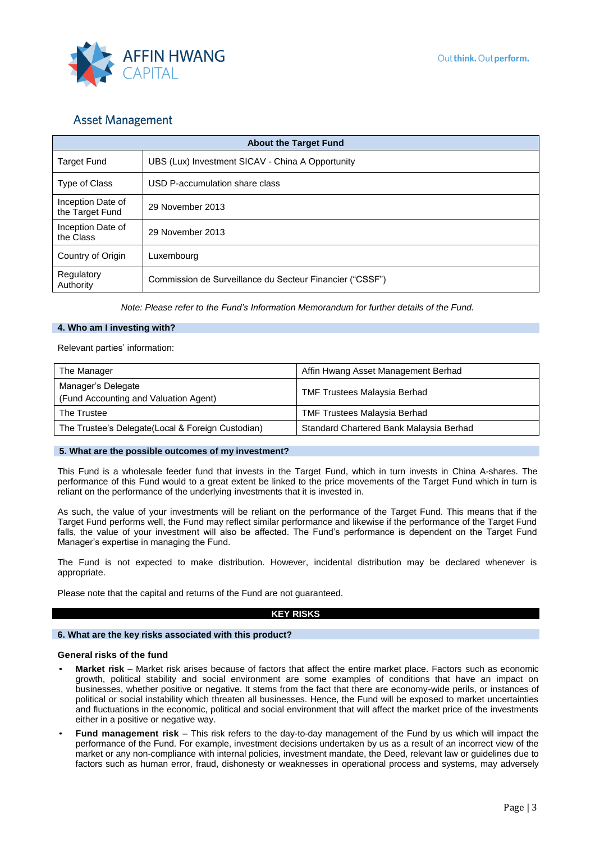

| <b>About the Target Fund</b>         |                                                          |  |  |
|--------------------------------------|----------------------------------------------------------|--|--|
| <b>Target Fund</b>                   | UBS (Lux) Investment SICAV - China A Opportunity         |  |  |
| Type of Class                        | USD P-accumulation share class                           |  |  |
| Inception Date of<br>the Target Fund | 29 November 2013                                         |  |  |
| Inception Date of<br>the Class       | 29 November 2013                                         |  |  |
| Country of Origin                    | Luxembourg                                               |  |  |
| Regulatory<br>Authority              | Commission de Surveillance du Secteur Financier ("CSSF") |  |  |

*Note: Please refer to the Fund's Information Memorandum for further details of the Fund.*

#### **4. Who am I investing with?**

Relevant parties' information:

| The Manager                                                 | Affin Hwang Asset Management Berhad     |
|-------------------------------------------------------------|-----------------------------------------|
| Manager's Delegate<br>(Fund Accounting and Valuation Agent) | <b>TMF Trustees Malaysia Berhad</b>     |
| The Trustee                                                 | <b>TMF Trustees Malaysia Berhad</b>     |
| The Trustee's Delegate(Local & Foreign Custodian)           | Standard Chartered Bank Malaysia Berhad |

#### **5. What are the possible outcomes of my investment?**

This Fund is a wholesale feeder fund that invests in the Target Fund, which in turn invests in China A-shares. The performance of this Fund would to a great extent be linked to the price movements of the Target Fund which in turn is reliant on the performance of the underlying investments that it is invested in.

As such, the value of your investments will be reliant on the performance of the Target Fund. This means that if the Target Fund performs well, the Fund may reflect similar performance and likewise if the performance of the Target Fund falls, the value of your investment will also be affected. The Fund's performance is dependent on the Target Fund Manager's expertise in managing the Fund.

The Fund is not expected to make distribution. However, incidental distribution may be declared whenever is appropriate.

Please note that the capital and returns of the Fund are not guaranteed.

#### **KEY RISKS**

#### **6. What are the key risks associated with this product?**

#### **General risks of the fund**

- **Market risk** Market risk arises because of factors that affect the entire market place. Factors such as economic growth, political stability and social environment are some examples of conditions that have an impact on businesses, whether positive or negative. It stems from the fact that there are economy-wide perils, or instances of political or social instability which threaten all businesses. Hence, the Fund will be exposed to market uncertainties and fluctuations in the economic, political and social environment that will affect the market price of the investments either in a positive or negative way.
- **Fund management risk**  This risk refers to the day-to-day management of the Fund by us which will impact the performance of the Fund. For example, investment decisions undertaken by us as a result of an incorrect view of the market or any non-compliance with internal policies, investment mandate, the Deed, relevant law or guidelines due to factors such as human error, fraud, dishonesty or weaknesses in operational process and systems, may adversely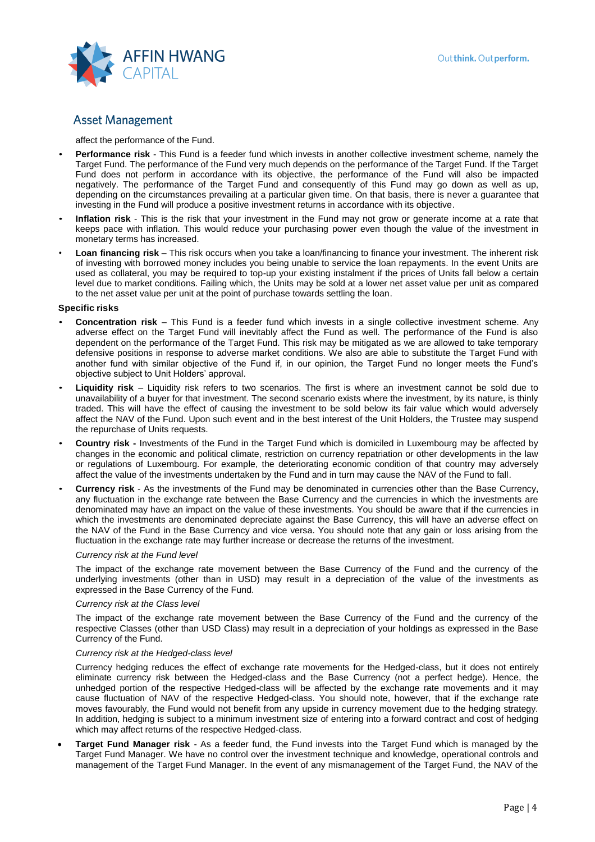

affect the performance of the Fund.

- **Performance risk** This Fund is a feeder fund which invests in another collective investment scheme, namely the Target Fund. The performance of the Fund very much depends on the performance of the Target Fund. If the Target Fund does not perform in accordance with its objective, the performance of the Fund will also be impacted negatively. The performance of the Target Fund and consequently of this Fund may go down as well as up, depending on the circumstances prevailing at a particular given time. On that basis, there is never a guarantee that investing in the Fund will produce a positive investment returns in accordance with its objective.
- **Inflation risk** This is the risk that your investment in the Fund may not grow or generate income at a rate that keeps pace with inflation. This would reduce your purchasing power even though the value of the investment in monetary terms has increased.
- **Loan financing risk** This risk occurs when you take a loan/financing to finance your investment. The inherent risk of investing with borrowed money includes you being unable to service the loan repayments. In the event Units are used as collateral, you may be required to top-up your existing instalment if the prices of Units fall below a certain level due to market conditions. Failing which, the Units may be sold at a lower net asset value per unit as compared to the net asset value per unit at the point of purchase towards settling the loan.

#### **Specific risks**

- **Concentration risk**  This Fund is a feeder fund which invests in a single collective investment scheme. Any adverse effect on the Target Fund will inevitably affect the Fund as well. The performance of the Fund is also dependent on the performance of the Target Fund. This risk may be mitigated as we are allowed to take temporary defensive positions in response to adverse market conditions. We also are able to substitute the Target Fund with another fund with similar objective of the Fund if, in our opinion, the Target Fund no longer meets the Fund's objective subject to Unit Holders' approval.
- **Liquidity risk**  Liquidity risk refers to two scenarios. The first is where an investment cannot be sold due to unavailability of a buyer for that investment. The second scenario exists where the investment, by its nature, is thinly traded. This will have the effect of causing the investment to be sold below its fair value which would adversely affect the NAV of the Fund. Upon such event and in the best interest of the Unit Holders, the Trustee may suspend the repurchase of Units requests.
- **Country risk -** Investments of the Fund in the Target Fund which is domiciled in Luxembourg may be affected by changes in the economic and political climate, restriction on currency repatriation or other developments in the law or regulations of Luxembourg. For example, the deteriorating economic condition of that country may adversely affect the value of the investments undertaken by the Fund and in turn may cause the NAV of the Fund to fall.
- **Currency risk** As the investments of the Fund may be denominated in currencies other than the Base Currency, any fluctuation in the exchange rate between the Base Currency and the currencies in which the investments are denominated may have an impact on the value of these investments. You should be aware that if the currencies in which the investments are denominated depreciate against the Base Currency, this will have an adverse effect on the NAV of the Fund in the Base Currency and vice versa. You should note that any gain or loss arising from the fluctuation in the exchange rate may further increase or decrease the returns of the investment.

#### *Currency risk at the Fund level*

The impact of the exchange rate movement between the Base Currency of the Fund and the currency of the underlying investments (other than in USD) may result in a depreciation of the value of the investments as expressed in the Base Currency of the Fund.

#### *Currency risk at the Class level*

The impact of the exchange rate movement between the Base Currency of the Fund and the currency of the respective Classes (other than USD Class) may result in a depreciation of your holdings as expressed in the Base Currency of the Fund.

#### *Currency risk at the Hedged-class level*

Currency hedging reduces the effect of exchange rate movements for the Hedged-class, but it does not entirely eliminate currency risk between the Hedged-class and the Base Currency (not a perfect hedge). Hence, the unhedged portion of the respective Hedged-class will be affected by the exchange rate movements and it may cause fluctuation of NAV of the respective Hedged-class. You should note, however, that if the exchange rate moves favourably, the Fund would not benefit from any upside in currency movement due to the hedging strategy. In addition, hedging is subject to a minimum investment size of entering into a forward contract and cost of hedging which may affect returns of the respective Hedged-class.

• **Target Fund Manager risk** - As a feeder fund, the Fund invests into the Target Fund which is managed by the Target Fund Manager. We have no control over the investment technique and knowledge, operational controls and management of the Target Fund Manager. In the event of any mismanagement of the Target Fund, the NAV of the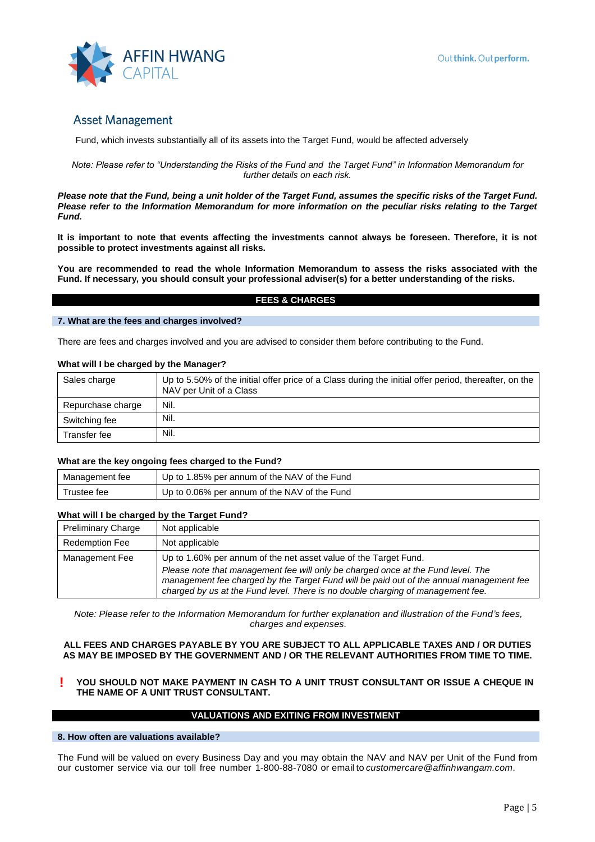Fund, which invests substantially all of its assets into the Target Fund, would be affected adversely

*Note: Please refer to "Understanding the Risks of the Fund and the Target Fund" in Information Memorandum for further details on each risk.*

*Please note that the Fund, being a unit holder of the Target Fund, assumes the specific risks of the Target Fund. Please refer to the Information Memorandum for more information on the peculiar risks relating to the Target Fund.*

**It is important to note that events affecting the investments cannot always be foreseen. Therefore, it is not possible to protect investments against all risks.** 

**You are recommended to read the whole Information Memorandum to assess the risks associated with the Fund. If necessary, you should consult your professional adviser(s) for a better understanding of the risks.** 

#### **FEES & CHARGES**

#### **7. What are the fees and charges involved?**

There are fees and charges involved and you are advised to consider them before contributing to the Fund.

#### **What will I be charged by the Manager?**

| Sales charge      | Up to 5.50% of the initial offer price of a Class during the initial offer period, thereafter, on the<br>NAV per Unit of a Class |
|-------------------|----------------------------------------------------------------------------------------------------------------------------------|
| Repurchase charge | Nil.                                                                                                                             |
| Switching fee     | Nil.                                                                                                                             |
| Transfer fee      | Nil.                                                                                                                             |

#### **What are the key ongoing fees charged to the Fund?**

| Management fee | Up to 1.85% per annum of the NAV of the Fund |
|----------------|----------------------------------------------|
| Trustee fee    | Up to 0.06% per annum of the NAV of the Fund |

#### **What will I be charged by the Target Fund?**

| <b>Preliminary Charge</b> | Not applicable                                                                                                                                                                                                                                                 |
|---------------------------|----------------------------------------------------------------------------------------------------------------------------------------------------------------------------------------------------------------------------------------------------------------|
| <b>Redemption Fee</b>     | Not applicable                                                                                                                                                                                                                                                 |
| Management Fee            | Up to 1.60% per annum of the net asset value of the Target Fund.                                                                                                                                                                                               |
|                           | Please note that management fee will only be charged once at the Fund level. The<br>management fee charged by the Target Fund will be paid out of the annual management fee<br>charged by us at the Fund level. There is no double charging of management fee. |

*Note: Please refer to the Information Memorandum for further explanation and illustration of the Fund's fees, charges and expenses.*

#### **ALL FEES AND CHARGES PAYABLE BY YOU ARE SUBJECT TO ALL APPLICABLE TAXES AND / OR DUTIES AS MAY BE IMPOSED BY THE GOVERNMENT AND / OR THE RELEVANT AUTHORITIES FROM TIME TO TIME.**

**! YOU SHOULD NOT MAKE PAYMENT IN CASH TO A UNIT TRUST CONSULTANT OR ISSUE A CHEQUE IN THE NAME OF A UNIT TRUST CONSULTANT.** 

#### **VALUATIONS AND EXITING FROM INVESTMENT**

#### **8. How often are valuations available?**

The Fund will be valued on every Business Day and you may obtain the NAV and NAV per Unit of the Fund from our customer service via our toll free number 1-800-88-7080 or email to *[customercare@affinhwangam.com](mailto:customercare@affinhwangam.com.)*.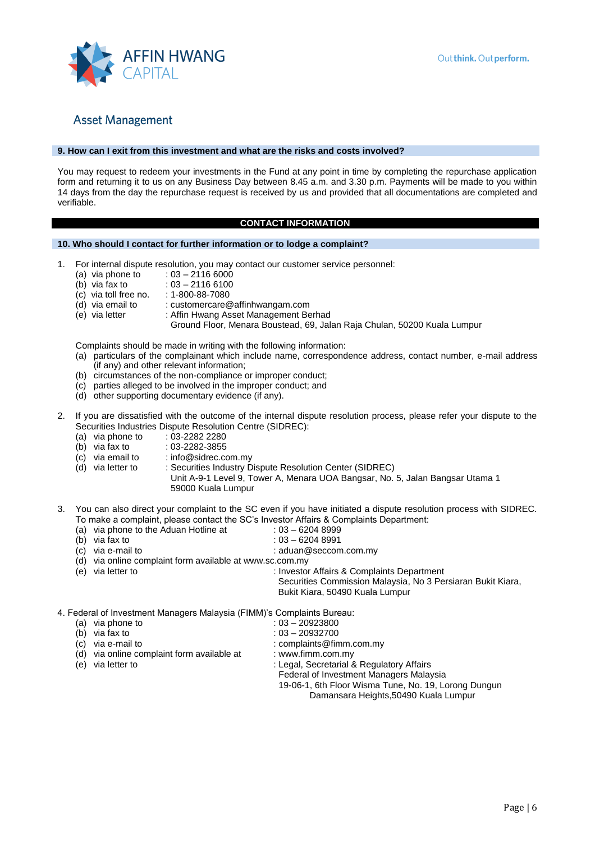

#### **9. How can I exit from this investment and what are the risks and costs involved?**

You may request to redeem your investments in the Fund at any point in time by completing the repurchase application form and returning it to us on any Business Day between 8.45 a.m. and 3.30 p.m. Payments will be made to you within 14 days from the day the repurchase request is received by us and provided that all documentations are completed and verifiable.

### **CONTACT INFORMATION**

#### **10. Who should I contact for further information or to lodge a complaint?**

- 1. For internal dispute resolution, you may contact our customer service personnel:
	- (a) via phone to  $(b)$  via fax to
	-
	- $: 03 21166100$ <br> $: 1 800 88 7080$  $(c)$  via toll free no.
		-
	- (d) via email to : customercare@affinhwangam.com<br>(e) via letter : Affin Hwang Asset Management Be : Affin Hwang Asset Management Berhad
		- Ground Floor, Menara Boustead, 69, Jalan Raja Chulan, 50200 Kuala Lumpur

Complaints should be made in writing with the following information:

- (a) particulars of the complainant which include name, correspondence address, contact number, e-mail address (if any) and other relevant information;
- (b) circumstances of the non-compliance or improper conduct;
- (c) parties alleged to be involved in the improper conduct; and
- (d) other supporting documentary evidence (if any).
- 2. If you are dissatisfied with the outcome of the internal dispute resolution process, please refer your dispute to the Securities Industries Dispute Resolution Centre (SIDREC):
	-
	- (a) via phone to :  $03-22822280$ <br>(b) via fax to :  $03-2282-3855$
	- (b) via fax to :  $03-2282-3855$ <br>(c) via email to : info@sidrec.co : info@sidrec.com.my
	- (d) via letter to : Securities Industry Dispute Resolution Center (SIDREC)
		- Unit A-9-1 Level 9, Tower A, Menara UOA Bangsar, No. 5, Jalan Bangsar Utama 1 59000 Kuala Lumpur
- 3. You can also direct your complaint to the SC even if you have initiated a dispute resolution process with SIDREC. To make a complaint, please contact the SC's Investor Affairs & Complaints Department:
	-
	- (a) via phone to the Aduan Hotline at :  $03 62048999$ <br>(b) via fax to :  $03 62048991$
	- (b) via fax to : 03 6204 8991<br>(c) via e-mail to : 2010 : aduan@seccon  $:$  aduan@seccom.com.my
	- (d) via online complaint form available at www.sc.com.my
	- (e) via letter to : Investor Affairs & Complaints Department Securities Commission Malaysia, No 3 Persiaran Bukit Kiara, Bukit Kiara, 50490 Kuala Lumpur

4. Federal of Investment Managers Malaysia (FIMM)'s Complaints Bureau:

(a) via phone to  $(5)$  via fax to  $(7)$  is  $0.3 - 20923800$ <br>(b) via fax to  $0.3 - 20932700$  $: 03 - 20932700$ (c) via e-mail to  $\blacksquare$ [: complaints@fimm.com.my](mailto:complaints@fimm.com.my) (d) via online complaint form available at : [www.fimm.com.my](http://www.fimm.com.my/) (e) via letter to : Legal, Secretarial & Regulatory Affairs Federal of Investment Managers Malaysia 19-06-1, 6th Floor Wisma Tune, No. 19, Lorong Dungun Damansara Heights,50490 Kuala Lumpur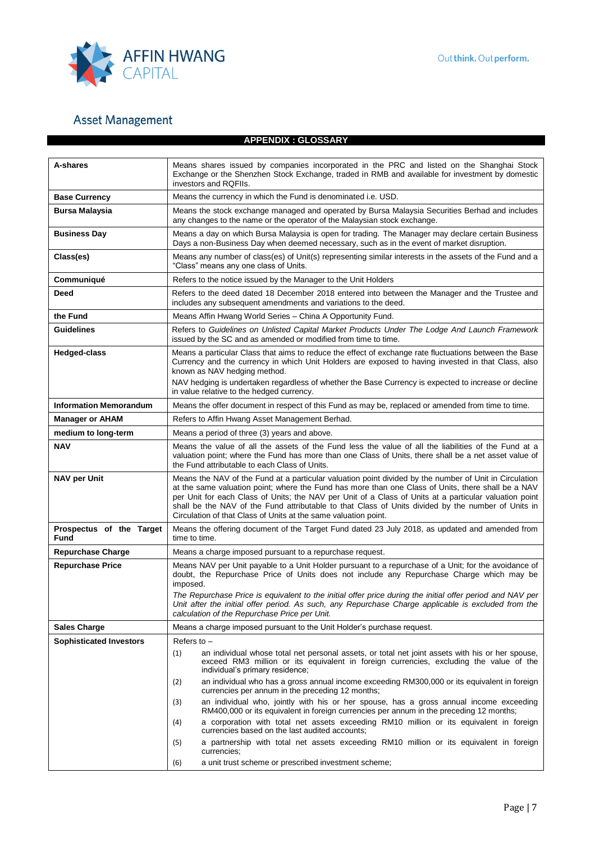

## **APPENDIX : GLOSSARY**

| A-shares                         | Means shares issued by companies incorporated in the PRC and listed on the Shanghai Stock<br>Exchange or the Shenzhen Stock Exchange, traded in RMB and available for investment by domestic<br>investors and RQFIIs.                                                                                                                                                                                                                                                                           |  |  |  |
|----------------------------------|-------------------------------------------------------------------------------------------------------------------------------------------------------------------------------------------------------------------------------------------------------------------------------------------------------------------------------------------------------------------------------------------------------------------------------------------------------------------------------------------------|--|--|--|
| <b>Base Currency</b>             | Means the currency in which the Fund is denominated i.e. USD.                                                                                                                                                                                                                                                                                                                                                                                                                                   |  |  |  |
| <b>Bursa Malaysia</b>            | Means the stock exchange managed and operated by Bursa Malaysia Securities Berhad and includes<br>any changes to the name or the operator of the Malaysian stock exchange.                                                                                                                                                                                                                                                                                                                      |  |  |  |
| <b>Business Day</b>              | Means a day on which Bursa Malaysia is open for trading. The Manager may declare certain Business<br>Days a non-Business Day when deemed necessary, such as in the event of market disruption.                                                                                                                                                                                                                                                                                                  |  |  |  |
| Class(es)                        | Means any number of class(es) of Unit(s) representing similar interests in the assets of the Fund and a<br>"Class" means any one class of Units.                                                                                                                                                                                                                                                                                                                                                |  |  |  |
| Communiqué                       | Refers to the notice issued by the Manager to the Unit Holders                                                                                                                                                                                                                                                                                                                                                                                                                                  |  |  |  |
| Deed                             | Refers to the deed dated 18 December 2018 entered into between the Manager and the Trustee and<br>includes any subsequent amendments and variations to the deed.                                                                                                                                                                                                                                                                                                                                |  |  |  |
| the Fund                         | Means Affin Hwang World Series - China A Opportunity Fund.                                                                                                                                                                                                                                                                                                                                                                                                                                      |  |  |  |
| <b>Guidelines</b>                | Refers to Guidelines on Unlisted Capital Market Products Under The Lodge And Launch Framework<br>issued by the SC and as amended or modified from time to time.                                                                                                                                                                                                                                                                                                                                 |  |  |  |
| <b>Hedged-class</b>              | Means a particular Class that aims to reduce the effect of exchange rate fluctuations between the Base<br>Currency and the currency in which Unit Holders are exposed to having invested in that Class, also<br>known as NAV hedging method.                                                                                                                                                                                                                                                    |  |  |  |
|                                  | NAV hedging is undertaken regardless of whether the Base Currency is expected to increase or decline<br>in value relative to the hedged currency.                                                                                                                                                                                                                                                                                                                                               |  |  |  |
| <b>Information Memorandum</b>    | Means the offer document in respect of this Fund as may be, replaced or amended from time to time.                                                                                                                                                                                                                                                                                                                                                                                              |  |  |  |
| <b>Manager or AHAM</b>           | Refers to Affin Hwang Asset Management Berhad.                                                                                                                                                                                                                                                                                                                                                                                                                                                  |  |  |  |
| medium to long-term              | Means a period of three (3) years and above.                                                                                                                                                                                                                                                                                                                                                                                                                                                    |  |  |  |
| <b>NAV</b>                       | Means the value of all the assets of the Fund less the value of all the liabilities of the Fund at a<br>valuation point; where the Fund has more than one Class of Units, there shall be a net asset value of<br>the Fund attributable to each Class of Units.                                                                                                                                                                                                                                  |  |  |  |
| <b>NAV per Unit</b>              | Means the NAV of the Fund at a particular valuation point divided by the number of Unit in Circulation<br>at the same valuation point; where the Fund has more than one Class of Units, there shall be a NAV<br>per Unit for each Class of Units; the NAV per Unit of a Class of Units at a particular valuation point<br>shall be the NAV of the Fund attributable to that Class of Units divided by the number of Units in<br>Circulation of that Class of Units at the same valuation point. |  |  |  |
| Prospectus of the Target<br>Fund | Means the offering document of the Target Fund dated 23 July 2018, as updated and amended from<br>time to time.                                                                                                                                                                                                                                                                                                                                                                                 |  |  |  |
| <b>Repurchase Charge</b>         | Means a charge imposed pursuant to a repurchase request.                                                                                                                                                                                                                                                                                                                                                                                                                                        |  |  |  |
| <b>Repurchase Price</b>          | Means NAV per Unit payable to a Unit Holder pursuant to a repurchase of a Unit; for the avoidance of<br>doubt, the Repurchase Price of Units does not include any Repurchase Charge which may be<br>imposed.                                                                                                                                                                                                                                                                                    |  |  |  |
|                                  | The Repurchase Price is equivalent to the initial offer price during the initial offer period and NAV per<br>Unit after the initial offer period. As such, any Repurchase Charge applicable is excluded from the<br>calculation of the Repurchase Price per Unit.                                                                                                                                                                                                                               |  |  |  |
| <b>Sales Charge</b>              | Means a charge imposed pursuant to the Unit Holder's purchase request.                                                                                                                                                                                                                                                                                                                                                                                                                          |  |  |  |
| <b>Sophisticated Investors</b>   | Refers to $-$                                                                                                                                                                                                                                                                                                                                                                                                                                                                                   |  |  |  |
|                                  | an individual whose total net personal assets, or total net joint assets with his or her spouse,<br>(1)<br>exceed RM3 million or its equivalent in foreign currencies, excluding the value of the<br>individual's primary residence;                                                                                                                                                                                                                                                            |  |  |  |
|                                  | an individual who has a gross annual income exceeding RM300,000 or its equivalent in foreign<br>(2)<br>currencies per annum in the preceding 12 months;                                                                                                                                                                                                                                                                                                                                         |  |  |  |
|                                  | an individual who, jointly with his or her spouse, has a gross annual income exceeding<br>(3)<br>RM400,000 or its equivalent in foreign currencies per annum in the preceding 12 months;                                                                                                                                                                                                                                                                                                        |  |  |  |
|                                  | a corporation with total net assets exceeding RM10 million or its equivalent in foreign<br>(4)<br>currencies based on the last audited accounts;                                                                                                                                                                                                                                                                                                                                                |  |  |  |
|                                  | a partnership with total net assets exceeding RM10 million or its equivalent in foreign<br>(5)<br>currencies;                                                                                                                                                                                                                                                                                                                                                                                   |  |  |  |
|                                  | a unit trust scheme or prescribed investment scheme;<br>(6)                                                                                                                                                                                                                                                                                                                                                                                                                                     |  |  |  |